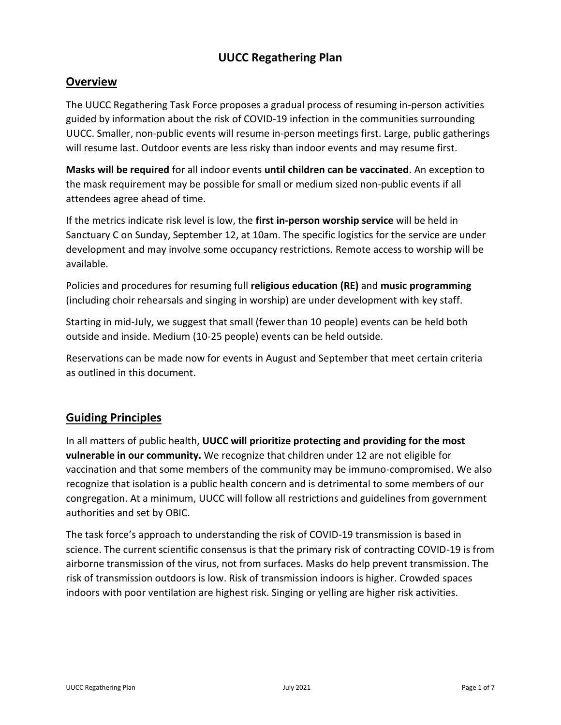## **UUCC Regathering Plan**

## **Overview**

The UUCC Regathering Task Force proposes a gradual process of resuming in-person activities guided by information about the risk of COVID-19 infection in the communities surrounding UUCC. Smaller, non-public events will resume in-person meetings first. Large, public gatherings will resume last. Outdoor events are less risky than indoor events and may resume first.

**Masks will be required** for all indoor events **until children can be vaccinated**. An exception to the mask requirement may be possible for small or medium sized non-public events if all attendees agree ahead of time.

If the metrics indicate risk level is low, the **first in-person worship service** will be held in Sanctuary C on Sunday, September 12, at 10am. The specific logistics for the service are under development and may involve some occupancy restrictions. Remote access to worship will be available.

Policies and procedures for resuming full **religious education (RE)** and **music programming** (including choir rehearsals and singing in worship) are under development with key staff.

Starting in mid-July, we suggest that small (fewer than 10 people) events can be held both outside and inside. Medium (10-25 people) events can be held outside.

Reservations can be made now for events in August and September that meet certain criteria as outlined in this document.

# **Guiding Principles**

In all matters of public health, **UUCC will prioritize protecting and providing for the most vulnerable in our community.** We recognize that children under 12 are not eligible for vaccination and that some members of the community may be immuno-compromised. We also recognize that isolation is a public health concern and is detrimental to some members of our congregation. At a minimum, UUCC will follow all restrictions and guidelines from government authorities and set by OBIC.

The task force's approach to understanding the risk of COVID-19 transmission is based in science. The current scientific consensus is that the primary risk of contracting COVID-19 is from airborne transmission of the virus, not from surfaces. Masks do help prevent transmission. The risk of transmission outdoors is low. Risk of transmission indoors is higher. Crowded spaces indoors with poor ventilation are highest risk. Singing or yelling are higher risk activities.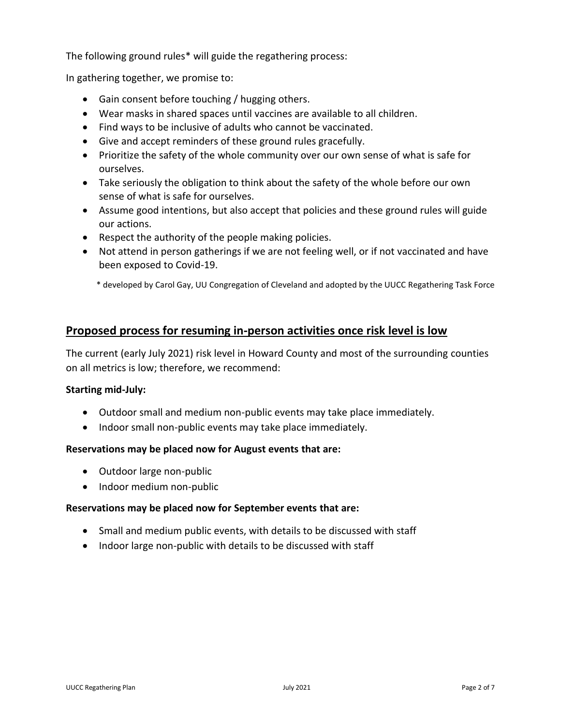The following ground rules\* will guide the regathering process:

In gathering together, we promise to:

- Gain consent before touching / hugging others.
- Wear masks in shared spaces until vaccines are available to all children.
- Find ways to be inclusive of adults who cannot be vaccinated.
- Give and accept reminders of these ground rules gracefully.
- Prioritize the safety of the whole community over our own sense of what is safe for ourselves.
- Take seriously the obligation to think about the safety of the whole before our own sense of what is safe for ourselves.
- Assume good intentions, but also accept that policies and these ground rules will guide our actions.
- Respect the authority of the people making policies.
- Not attend in person gatherings if we are not feeling well, or if not vaccinated and have been exposed to Covid-19.

\* developed by Carol Gay, UU Congregation of Cleveland and adopted by the UUCC Regathering Task Force

## **Proposed process for resuming in-person activities once risk level is low**

The current (early July 2021) risk level in Howard County and most of the surrounding counties on all metrics is low; therefore, we recommend:

## **Starting mid-July:**

- Outdoor small and medium non-public events may take place immediately.
- Indoor small non-public events may take place immediately.

## **Reservations may be placed now for August events that are:**

- Outdoor large non-public
- Indoor medium non-public

## **Reservations may be placed now for September events that are:**

- Small and medium public events, with details to be discussed with staff
- Indoor large non-public with details to be discussed with staff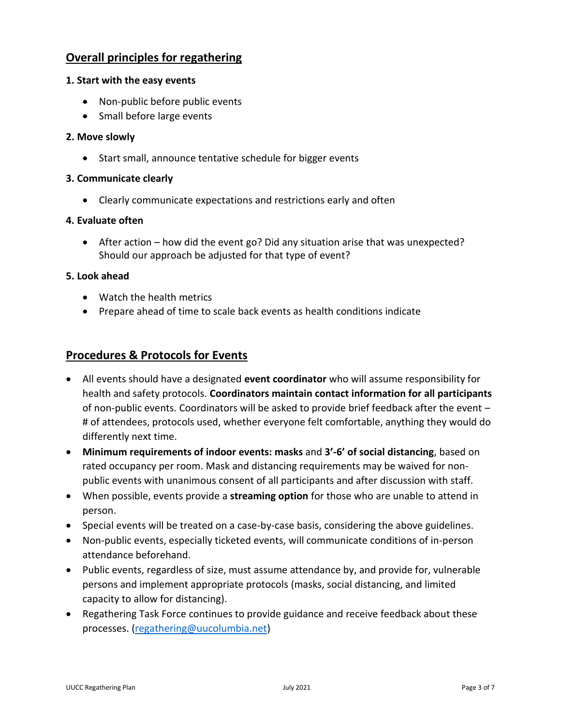## **Overall principles for regathering**

## **1. Start with the easy events**

- Non-public before public events
- Small before large events

## **2. Move slowly**

• Start small, announce tentative schedule for bigger events

## **3. Communicate clearly**

• Clearly communicate expectations and restrictions early and often

### **4. Evaluate often**

• After action – how did the event go? Did any situation arise that was unexpected? Should our approach be adjusted for that type of event?

### **5. Look ahead**

- Watch the health metrics
- Prepare ahead of time to scale back events as health conditions indicate

## **Procedures & Protocols for Events**

- All events should have a designated **event coordinator** who will assume responsibility for health and safety protocols. **Coordinators maintain contact information for all participants**  of non-public events. Coordinators will be asked to provide brief feedback after the event – # of attendees, protocols used, whether everyone felt comfortable, anything they would do differently next time.
- **Minimum requirements of indoor events: masks** and **3'-6' of social distancing**, based on rated occupancy per room. Mask and distancing requirements may be waived for nonpublic events with unanimous consent of all participants and after discussion with staff.
- When possible, events provide a **streaming option** for those who are unable to attend in person.
- Special events will be treated on a case-by-case basis, considering the above guidelines.
- Non-public events, especially ticketed events, will communicate conditions of in-person attendance beforehand.
- Public events, regardless of size, must assume attendance by, and provide for, vulnerable persons and implement appropriate protocols (masks, social distancing, and limited capacity to allow for distancing).
- Regathering Task Force continues to provide guidance and receive feedback about these processes. [\(regathering@uucolumbia.net\)](mailto:regathering@uucolumbia.net)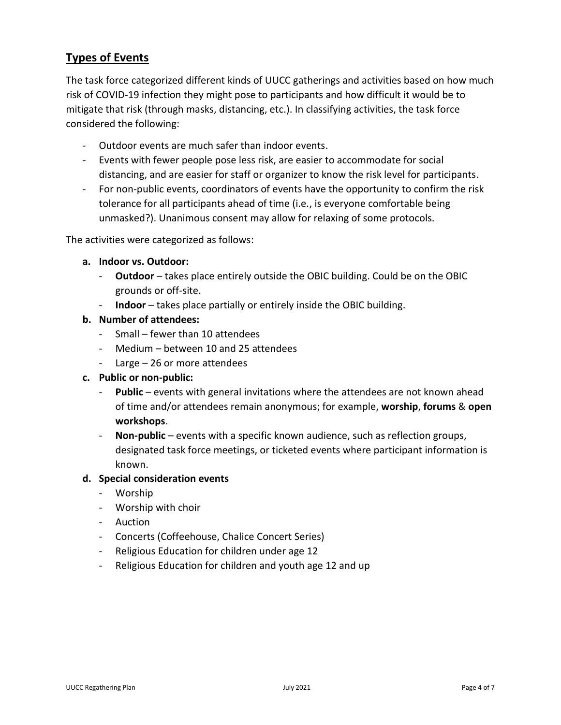## **Types of Events**

The task force categorized different kinds of UUCC gatherings and activities based on how much risk of COVID-19 infection they might pose to participants and how difficult it would be to mitigate that risk (through masks, distancing, etc.). In classifying activities, the task force considered the following:

- Outdoor events are much safer than indoor events.
- Events with fewer people pose less risk, are easier to accommodate for social distancing, and are easier for staff or organizer to know the risk level for participants.
- For non-public events, coordinators of events have the opportunity to confirm the risk tolerance for all participants ahead of time (i.e., is everyone comfortable being unmasked?). Unanimous consent may allow for relaxing of some protocols.

The activities were categorized as follows:

- **a. Indoor vs. Outdoor:**
	- **Outdoor** takes place entirely outside the OBIC building. Could be on the OBIC grounds or off-site.
	- **Indoor** takes place partially or entirely inside the OBIC building.
- **b. Number of attendees:**
	- Small fewer than 10 attendees
	- Medium between 10 and 25 attendees
	- Large 26 or more attendees
- **c. Public or non-public:**
	- **Public** events with general invitations where the attendees are not known ahead of time and/or attendees remain anonymous; for example, **worship**, **forums** & **open workshops**.
	- **Non-public** events with a specific known audience, such as reflection groups, designated task force meetings, or ticketed events where participant information is known.

#### **d. Special consideration events**

- Worship
- Worship with choir
- Auction
- Concerts (Coffeehouse, Chalice Concert Series)
- Religious Education for children under age 12
- Religious Education for children and youth age 12 and up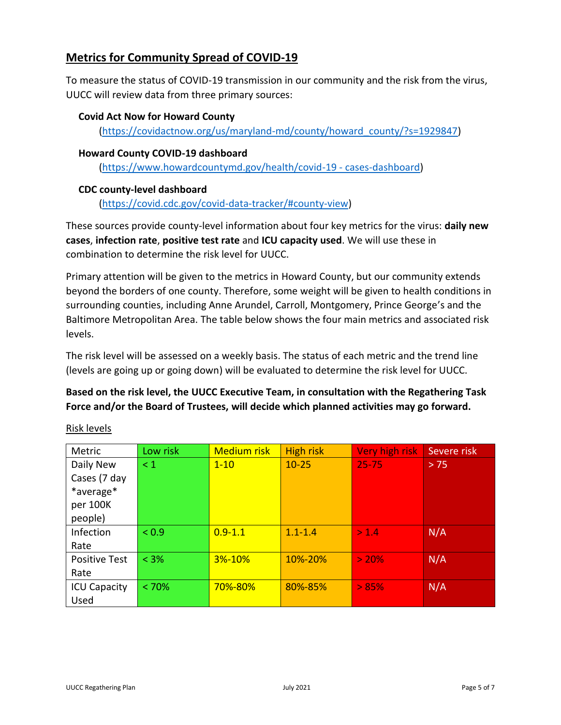# **Metrics for Community Spread of COVID-19**

To measure the status of COVID-19 transmission in our community and the risk from the virus, UUCC will review data from three primary sources:

### **Covid Act Now for Howard County**

[\(https://covidactnow.org/us/maryland-md/county/howard\\_county/?s=1929847\)](https://covidactnow.org/us/maryland-md/county/howard_county/?s=1929847)

### **Howard County COVID-19 dashboard**

[\(https://www.howardcountymd.gov/health/covid-19 -](https://www.howardcountymd.gov/health/covid-19#cases-dashboard) cases-dashboard)

## **CDC county-level dashboard**

[\(https://covid.cdc.gov/covid-data-tracker/#county-view\)](https://covid.cdc.gov/covid-data-tracker/#county-view)

These sources provide county-level information about four key metrics for the virus: **daily new cases**, **infection rate**, **positive test rate** and **ICU capacity used**. We will use these in combination to determine the risk level for UUCC.

Primary attention will be given to the metrics in Howard County, but our community extends beyond the borders of one county. Therefore, some weight will be given to health conditions in surrounding counties, including Anne Arundel, Carroll, Montgomery, Prince George's and the Baltimore Metropolitan Area. The table below shows the four main metrics and associated risk levels.

The risk level will be assessed on a weekly basis. The status of each metric and the trend line (levels are going up or going down) will be evaluated to determine the risk level for UUCC.

## **Based on the risk level, the UUCC Executive Team, in consultation with the Regathering Task Force and/or the Board of Trustees, will decide which planned activities may go forward.**

| Metric               | Low risk | <b>Medium risk</b> | <b>High risk</b> | Very high risk | Severe risk |
|----------------------|----------|--------------------|------------------|----------------|-------------|
| Daily New            | $\leq 1$ | $1 - 10$           | $10 - 25$        | $25 - 75$      | > 75        |
| Cases (7 day         |          |                    |                  |                |             |
| *average*            |          |                    |                  |                |             |
| per 100K             |          |                    |                  |                |             |
| people)              |          |                    |                  |                |             |
| Infection            | < 0.9    | $0.9 - 1.1$        | $1.1 - 1.4$      | > 1.4          | N/A         |
| Rate                 |          |                    |                  |                |             |
| <b>Positive Test</b> | $< 3\%$  | <b>3%-10%</b>      | 10%-20%          | > 20%          | N/A         |
| Rate                 |          |                    |                  |                |             |
| <b>ICU Capacity</b>  | < 70%    | <b>70%-80%</b>     | 80%-85%          | > 85%          | N/A         |
| Used                 |          |                    |                  |                |             |

Risk levels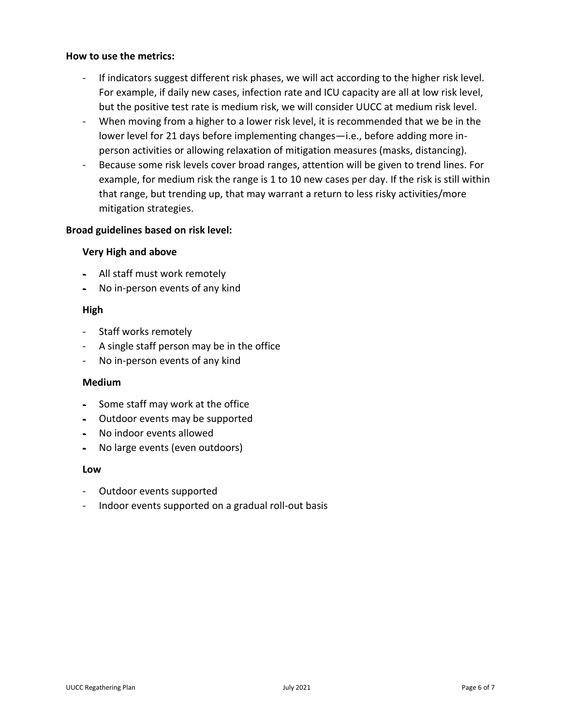#### **How to use the metrics:**

- If indicators suggest different risk phases, we will act according to the higher risk level. For example, if daily new cases, infection rate and ICU capacity are all at low risk level, but the positive test rate is medium risk, we will consider UUCC at medium risk level.
- When moving from a higher to a lower risk level, it is recommended that we be in the lower level for 21 days before implementing changes—i.e., before adding more inperson activities or allowing relaxation of mitigation measures (masks, distancing).
- Because some risk levels cover broad ranges, attention will be given to trend lines. For example, for medium risk the range is 1 to 10 new cases per day. If the risk is still within that range, but trending up, that may warrant a return to less risky activities/more mitigation strategies.

## **Broad guidelines based on risk level:**

### **Very High and above**

- All staff must work remotely
- No in-person events of any kind

#### **High**

- Staff works remotely
- A single staff person may be in the office
- No in-person events of any kind

#### **Medium**

- Some staff may work at the office
- Outdoor events may be supported
- No indoor events allowed
- No large events (even outdoors)

#### **Low**

- Outdoor events supported
- Indoor events supported on a gradual roll-out basis